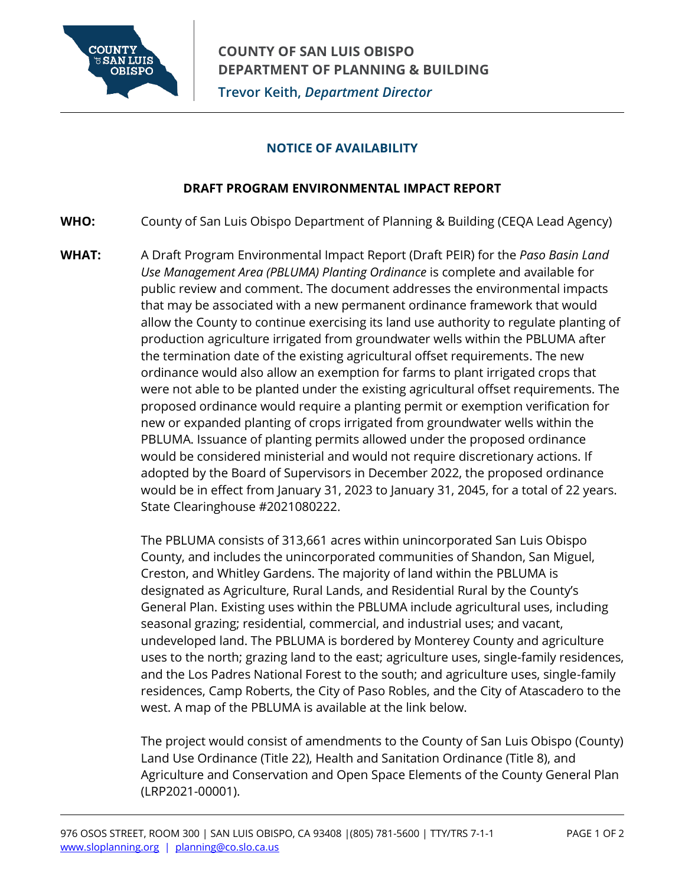

## **NOTICE OF AVAILABILITY**

## **DRAFT PROGRAM ENVIRONMENTAL IMPACT REPORT**

- **WHO:** County of San Luis Obispo Department of Planning & Building (CEQA Lead Agency)
- **WHAT:** A Draft Program Environmental Impact Report (Draft PEIR) for the *Paso Basin Land Use Management Area (PBLUMA) Planting Ordinance* is complete and available for public review and comment. The document addresses the environmental impacts that may be associated with a new permanent ordinance framework that would allow the County to continue exercising its land use authority to regulate planting of production agriculture irrigated from groundwater wells within the PBLUMA after the termination date of the existing agricultural offset requirements. The new ordinance would also allow an exemption for farms to plant irrigated crops that were not able to be planted under the existing agricultural offset requirements. The proposed ordinance would require a planting permit or exemption verification for new or expanded planting of crops irrigated from groundwater wells within the PBLUMA. Issuance of planting permits allowed under the proposed ordinance would be considered ministerial and would not require discretionary actions. If adopted by the Board of Supervisors in December 2022, the proposed ordinance would be in effect from January 31, 2023 to January 31, 2045, for a total of 22 years. State Clearinghouse #2021080222.

The PBLUMA consists of 313,661 acres within unincorporated San Luis Obispo County, and includes the unincorporated communities of Shandon, San Miguel, Creston, and Whitley Gardens. The majority of land within the PBLUMA is designated as Agriculture, Rural Lands, and Residential Rural by the County's General Plan. Existing uses within the PBLUMA include agricultural uses, including seasonal grazing; residential, commercial, and industrial uses; and vacant, undeveloped land. The PBLUMA is bordered by Monterey County and agriculture uses to the north; grazing land to the east; agriculture uses, single-family residences, and the Los Padres National Forest to the south; and agriculture uses, single-family residences, Camp Roberts, the City of Paso Robles, and the City of Atascadero to the west. A map of the PBLUMA is available at the link below.

The project would consist of amendments to the County of San Luis Obispo (County) Land Use Ordinance (Title 22), Health and Sanitation Ordinance (Title 8), and Agriculture and Conservation and Open Space Elements of the County General Plan (LRP2021-00001).